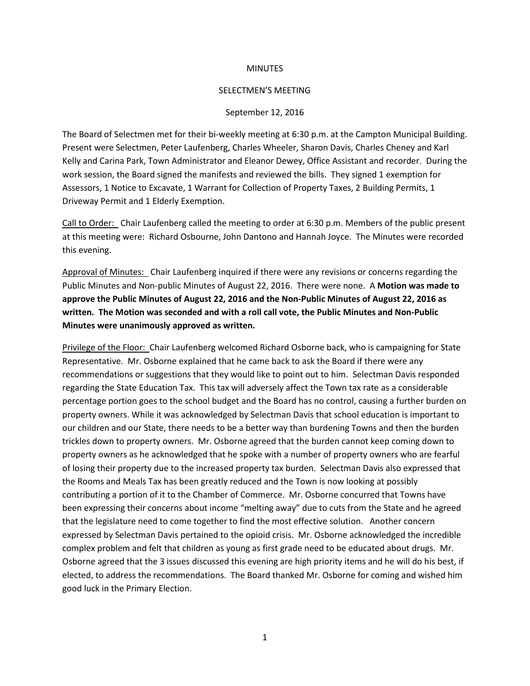## **MINUTES**

## SELECTMEN'S MEETING

## September 12, 2016

The Board of Selectmen met for their bi-weekly meeting at 6:30 p.m. at the Campton Municipal Building. Present were Selectmen, Peter Laufenberg, Charles Wheeler, Sharon Davis, Charles Cheney and Karl Kelly and Carina Park, Town Administrator and Eleanor Dewey, Office Assistant and recorder. During the work session, the Board signed the manifests and reviewed the bills. They signed 1 exemption for Assessors, 1 Notice to Excavate, 1 Warrant for Collection of Property Taxes, 2 Building Permits, 1 Driveway Permit and 1 Elderly Exemption.

Call to Order: Chair Laufenberg called the meeting to order at 6:30 p.m. Members of the public present at this meeting were: Richard Osbourne, John Dantono and Hannah Joyce. The Minutes were recorded this evening.

Approval of Minutes: Chair Laufenberg inquired if there were any revisions or concerns regarding the Public Minutes and Non-public Minutes of August 22, 2016. There were none. A **Motion was made to approve the Public Minutes of August 22, 2016 and the Non-Public Minutes of August 22, 2016 as written. The Motion was seconded and with a roll call vote, the Public Minutes and Non-Public Minutes were unanimously approved as written.**

Privilege of the Floor: Chair Laufenberg welcomed Richard Osborne back, who is campaigning for State Representative. Mr. Osborne explained that he came back to ask the Board if there were any recommendations or suggestions that they would like to point out to him. Selectman Davis responded regarding the State Education Tax. This tax will adversely affect the Town tax rate as a considerable percentage portion goes to the school budget and the Board has no control, causing a further burden on property owners. While it was acknowledged by Selectman Davis that school education is important to our children and our State, there needs to be a better way than burdening Towns and then the burden trickles down to property owners. Mr. Osborne agreed that the burden cannot keep coming down to property owners as he acknowledged that he spoke with a number of property owners who are fearful of losing their property due to the increased property tax burden. Selectman Davis also expressed that the Rooms and Meals Tax has been greatly reduced and the Town is now looking at possibly contributing a portion of it to the Chamber of Commerce. Mr. Osborne concurred that Towns have been expressing their concerns about income "melting away" due to cuts from the State and he agreed that the legislature need to come together to find the most effective solution. Another concern expressed by Selectman Davis pertained to the opioid crisis. Mr. Osborne acknowledged the incredible complex problem and felt that children as young as first grade need to be educated about drugs. Mr. Osborne agreed that the 3 issues discussed this evening are high priority items and he will do his best, if elected, to address the recommendations. The Board thanked Mr. Osborne for coming and wished him good luck in the Primary Election.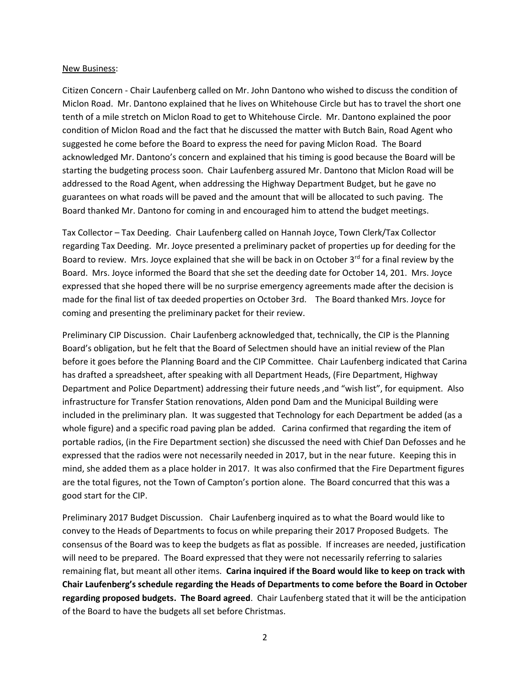## New Business:

Citizen Concern - Chair Laufenberg called on Mr. John Dantono who wished to discuss the condition of Miclon Road. Mr. Dantono explained that he lives on Whitehouse Circle but has to travel the short one tenth of a mile stretch on Miclon Road to get to Whitehouse Circle. Mr. Dantono explained the poor condition of Miclon Road and the fact that he discussed the matter with Butch Bain, Road Agent who suggested he come before the Board to express the need for paving Miclon Road. The Board acknowledged Mr. Dantono's concern and explained that his timing is good because the Board will be starting the budgeting process soon. Chair Laufenberg assured Mr. Dantono that Miclon Road will be addressed to the Road Agent, when addressing the Highway Department Budget, but he gave no guarantees on what roads will be paved and the amount that will be allocated to such paving. The Board thanked Mr. Dantono for coming in and encouraged him to attend the budget meetings.

Tax Collector – Tax Deeding. Chair Laufenberg called on Hannah Joyce, Town Clerk/Tax Collector regarding Tax Deeding. Mr. Joyce presented a preliminary packet of properties up for deeding for the Board to review. Mrs. Joyce explained that she will be back in on October 3<sup>rd</sup> for a final review by the Board. Mrs. Joyce informed the Board that she set the deeding date for October 14, 201. Mrs. Joyce expressed that she hoped there will be no surprise emergency agreements made after the decision is made for the final list of tax deeded properties on October 3rd. The Board thanked Mrs. Joyce for coming and presenting the preliminary packet for their review.

Preliminary CIP Discussion. Chair Laufenberg acknowledged that, technically, the CIP is the Planning Board's obligation, but he felt that the Board of Selectmen should have an initial review of the Plan before it goes before the Planning Board and the CIP Committee. Chair Laufenberg indicated that Carina has drafted a spreadsheet, after speaking with all Department Heads, (Fire Department, Highway Department and Police Department) addressing their future needs ,and "wish list", for equipment. Also infrastructure for Transfer Station renovations, Alden pond Dam and the Municipal Building were included in the preliminary plan. It was suggested that Technology for each Department be added (as a whole figure) and a specific road paving plan be added. Carina confirmed that regarding the item of portable radios, (in the Fire Department section) she discussed the need with Chief Dan Defosses and he expressed that the radios were not necessarily needed in 2017, but in the near future. Keeping this in mind, she added them as a place holder in 2017. It was also confirmed that the Fire Department figures are the total figures, not the Town of Campton's portion alone. The Board concurred that this was a good start for the CIP.

Preliminary 2017 Budget Discussion. Chair Laufenberg inquired as to what the Board would like to convey to the Heads of Departments to focus on while preparing their 2017 Proposed Budgets. The consensus of the Board was to keep the budgets as flat as possible. If increases are needed, justification will need to be prepared. The Board expressed that they were not necessarily referring to salaries remaining flat, but meant all other items. **Carina inquired if the Board would like to keep on track with Chair Laufenberg's schedule regarding the Heads of Departments to come before the Board in October regarding proposed budgets. The Board agreed**. Chair Laufenberg stated that it will be the anticipation of the Board to have the budgets all set before Christmas.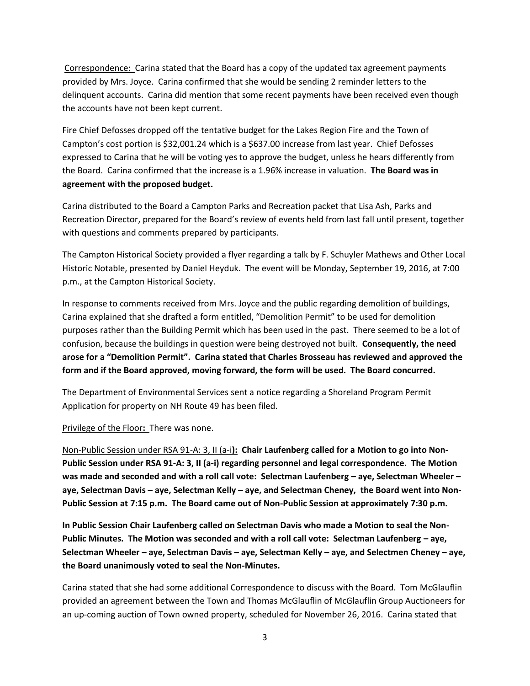Correspondence: Carina stated that the Board has a copy of the updated tax agreement payments provided by Mrs. Joyce. Carina confirmed that she would be sending 2 reminder letters to the delinquent accounts. Carina did mention that some recent payments have been received even though the accounts have not been kept current.

Fire Chief Defosses dropped off the tentative budget for the Lakes Region Fire and the Town of Campton's cost portion is \$32,001.24 which is a \$637.00 increase from last year. Chief Defosses expressed to Carina that he will be voting yes to approve the budget, unless he hears differently from the Board. Carina confirmed that the increase is a 1.96% increase in valuation. **The Board was in agreement with the proposed budget.** 

Carina distributed to the Board a Campton Parks and Recreation packet that Lisa Ash, Parks and Recreation Director, prepared for the Board's review of events held from last fall until present, together with questions and comments prepared by participants.

The Campton Historical Society provided a flyer regarding a talk by F. Schuyler Mathews and Other Local Historic Notable, presented by Daniel Heyduk. The event will be Monday, September 19, 2016, at 7:00 p.m., at the Campton Historical Society.

In response to comments received from Mrs. Joyce and the public regarding demolition of buildings, Carina explained that she drafted a form entitled, "Demolition Permit" to be used for demolition purposes rather than the Building Permit which has been used in the past. There seemed to be a lot of confusion, because the buildings in question were being destroyed not built. **Consequently, the need arose for a "Demolition Permit". Carina stated that Charles Brosseau has reviewed and approved the form and if the Board approved, moving forward, the form will be used. The Board concurred.** 

The Department of Environmental Services sent a notice regarding a Shoreland Program Permit Application for property on NH Route 49 has been filed.

Privilege of the Floor**:** There was none.

Non-Public Session under RSA 91-A: 3, II (a-i**): Chair Laufenberg called for a Motion to go into Non-Public Session under RSA 91-A: 3, II (a-i) regarding personnel and legal correspondence. The Motion was made and seconded and with a roll call vote: Selectman Laufenberg – aye, Selectman Wheeler – aye, Selectman Davis – aye, Selectman Kelly – aye, and Selectman Cheney, the Board went into Non-Public Session at 7:15 p.m. The Board came out of Non-Public Session at approximately 7:30 p.m.**

**In Public Session Chair Laufenberg called on Selectman Davis who made a Motion to seal the Non-Public Minutes. The Motion was seconded and with a roll call vote: Selectman Laufenberg – aye, Selectman Wheeler – aye, Selectman Davis – aye, Selectman Kelly – aye, and Selectmen Cheney – aye, the Board unanimously voted to seal the Non-Minutes.**

Carina stated that she had some additional Correspondence to discuss with the Board. Tom McGlauflin provided an agreement between the Town and Thomas McGlauflin of McGlauflin Group Auctioneers for an up-coming auction of Town owned property, scheduled for November 26, 2016. Carina stated that